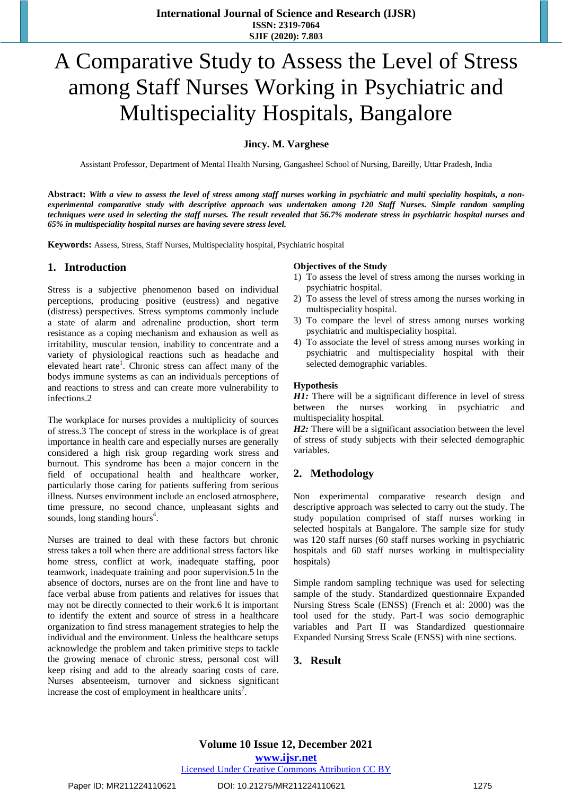# A Comparative Study to Assess the Level of Stress among Staff Nurses Working in Psychiatric and Multispeciality Hospitals, Bangalore

#### **Jincy. M. Varghese**

Assistant Professor, Department of Mental Health Nursing, Gangasheel School of Nursing, Bareilly, Uttar Pradesh, India

Abstract: With a view to assess the level of stress among staff nurses working in psychiatric and multi speciality hospitals, a non*experimental comparative study with descriptive approach was undertaken among 120 Staff Nurses. Simple random sampling* techniques were used in selecting the staff nurses. The result revealed that 56.7% moderate stress in psychiatric hospital nurses and *65% in multispeciality hospital nurses are having severe stress level.* 

**Keywords:** Assess, Stress, Staff Nurses, Multispeciality hospital, Psychiatric hospital

## **1. Introduction**

Stress is a subjective phenomenon based on individual perceptions, producing positive (eustress) and negative (distress) perspectives. Stress symptoms commonly include a state of alarm and adrenaline production, short term resistance as a coping mechanism and exhausion as well as irritability, muscular tension, inability to concentrate and a variety of physiological reactions such as headache and elevated heart rate<sup>1</sup>. Chronic stress can affect many of the bodys immune systems as can an individuals perceptions of and reactions to stress and can create more vulnerability to infections.

The workplace for nurses provides a multiplicity of sources of stress.3 The concept of stress in the workplace is of great importance in health care and especially nurses are generally considered a high risk group regarding work stress and burnout. This syndrome has been a major concern in the field of occupational health and healthcare worker, particularly those caring for patients suffering from serious illness. Nurses environment include an enclosed atmosphere, time pressure, no second chance, unpleasant sights and sounds, long standing hours<sup>4</sup>.

Nurses are trained to deal with these factors but chronic stress takes a toll when there are additional stress factors like home stress, conflict at work, inadequate staffing, poor teamwork, inadequate training and poor supervision.5 In the absence of doctors, nurses are on the front line and have to face verbal abuse from patients and relatives for issues that may not be directly connected to their work.6 It is important to identify the extent and source of stress in a healthcare organization to find stress management strategies to help the individual and the environment. Unless the healthcare setups acknowledge the problem and taken primitive steps to tackle the growing menace of chronic stress, personal cost will keep rising and add to the already soaring costs of care. Nurses absenteeism, turnover and sickness significant increase the cost of employment in healthcare units<sup>7</sup>.

#### **Objectives of the Study**

- 1) To assess the level of stress among the nurses working in psychiatric hospital.
- 2) To assess the level of stress among the nurses working in multispeciality hospital.
- 3) To compare the level of stress among nurses working psychiatric and multispeciality hospital.
- 4) To associate the level of stress among nurses working in psychiatric and multispeciality hospital with their selected demographic variables.

#### **Hypothesis**

*H1:* There will be a significant difference in level of stress between the nurses working in psychiatric and multispeciality hospital.

*H2*: There will be a significant association between the level of stress of study subjects with their selected demographic variables.

## **2. Methodology**

Non experimental comparative research design and descriptive approach was selected to carry out the study. The study population comprised of staff nurses working in selected hospitals at Bangalore. The sample size for study was 120 staff nurses (60 staff nurses working in psychiatric hospitals and 60 staff nurses working in multispeciality hospitals)

Simple random sampling technique was used for selecting sample of the study. Standardized questionnaire Expanded Nursing Stress Scale (ENSS) (French et al: 2000) was the tool used for the study. Part-I was socio demographic variables and Part II was Standardized questionnaire Expanded Nursing Stress Scale (ENSS) with nine sections.

## **3. Result**

**Volume 10 Issue 12, December 2021 www.ijsr.net**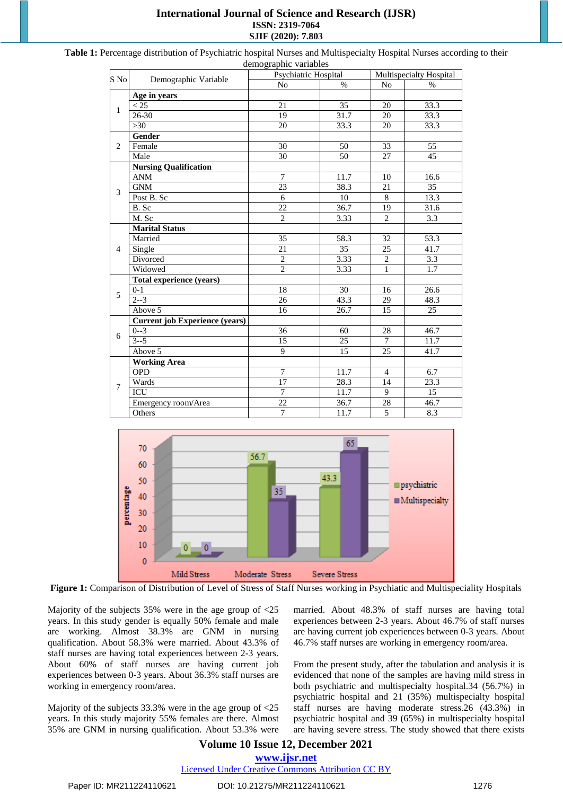## **International Journal of Science and Research (IJSR) ISSN: 2319-7064 SJIF (2020): 7.803**

| $S$ No         | Demographic Variable                  | Psychiatric Hospital |                   | Multispecialty Hospital |                   |
|----------------|---------------------------------------|----------------------|-------------------|-------------------------|-------------------|
|                |                                       | N <sub>o</sub>       | $\%$              | No                      | $\%$              |
| $\mathbf{1}$   | Age in years                          |                      |                   |                         |                   |
|                | < 25                                  | 21                   | $\overline{35}$   | 20                      | 33.3              |
|                | 26-30                                 | 19                   | 31.7              | 20                      | 33.3              |
|                | $>30$                                 | 20                   | 33.3              | 20                      | 33.3              |
| $\overline{2}$ | Gender                                |                      |                   |                         |                   |
|                | Female                                | 30                   | 50                | 33                      | 55                |
|                | Male                                  | 30                   | 50                | 27                      | 45                |
| 3              | <b>Nursing Qualification</b>          |                      |                   |                         |                   |
|                | <b>ANM</b>                            | $\overline{7}$       | $11.\overline{7}$ | 10                      | 16.6              |
|                | <b>GNM</b>                            | 23                   | 38.3              | 21                      | 35                |
|                | Post B. Sc                            | 6                    | 10                | 8                       | 13.3              |
|                | B. Sc                                 | 22                   | 36.7              | 19                      | $\overline{3}1.6$ |
|                | M. Sc                                 | $\overline{2}$       | 3.33              | $\overline{2}$          | 3.3               |
| $\overline{4}$ | <b>Marital Status</b>                 |                      |                   |                         |                   |
|                | Married                               | 35                   | 58.3              | 32                      | 53.3              |
|                | Single                                | 21                   | $\overline{35}$   | $\overline{25}$         | 41.7              |
|                | Divorced                              | $\overline{2}$       | 3.33              | $\overline{c}$          | 3.3               |
|                | Widowed                               | $\overline{2}$       | 3.33              | $\mathbf{1}$            | 1.7               |
| 5              | Total experience (years)              |                      |                   |                         |                   |
|                | $0 - 1$                               | 18                   | 30                | 16                      | 26.6              |
|                | $2 - 3$                               | 26                   | 43.3              | 29                      | 48.3              |
|                | Above 5                               | 16                   | 26.7              | 15                      | 25                |
| 6              | <b>Current job Experience (years)</b> |                      |                   |                         |                   |
|                | $0 - 3$                               | $\overline{36}$      | 60                | 28                      | 46.7              |
|                | $3 - 5$                               | 15                   | 25                | 7                       | 11.7              |
|                | Above 5                               | 9                    | 15                | 25                      | 41.7              |
| 7              | <b>Working Area</b>                   |                      |                   |                         |                   |
|                | <b>OPD</b>                            | $\overline{7}$       | 11.7              | $\overline{4}$          | 6.7               |
|                | Wards                                 | 17                   | 28.3              | 14                      | 23.3              |
|                | <b>ICU</b>                            | $\overline{7}$       | 11.7              | 9                       | 15                |
|                | Emergency room/Area                   | $\overline{22}$      | 36.7              | 28                      | 46.7              |
|                | Others                                | $\overline{7}$       | 11.7              | 5                       | 8.3               |

**Table 1:** Percentage distribution of Psychiatric hospital Nurses and Multispecialty Hospital Nurses according to their demographic variables



**Figure 1:** Comparison of Distribution of Level of Stress of Staff Nurses working in Psychiatic and Multispeciality Hospitals

Majority of the subjects 35% were in the age group of <25 years. In this study gender is equally 50% female and male are working. Almost 38.3% are GNM in nursing qualification. About 58.3% were married. About 43.3% of staff nurses are having total experiences between 2-3 years. About 60% of staff nurses are having current job experiences between 0-3 years. About 36.3% staff nurses are working in emergency room/area.

Majority of the subjects 33.3% were in the age group of <25 years. In this study majority 55% females are there. Almost 35% are GNM in nursing qualification. About 53.3% were married. About 48.3% of staff nurses are having total experiences between 2-3 years. About 46.7% of staff nurses are having current job experiences between 0-3 years. About 46.7% staff nurses are working in emergency room/area.

From the present study, after the tabulation and analysis it is evidenced that none of the samples are having mild stress in both psychiatric and multispecialty hospital.34 (56.7%) in psychiatric hospital and 21 (35%) multispecialty hospital staff nurses are having moderate stress.26 (43.3%) in psychiatric hospital and 39 (65%) in multispecialty hospital are having severe stress. The study showed that there exists

## **Volume 10 Issue 12, December 2021 www.ijsr.net**

Licensed Under Creative Commons Attribution CC BY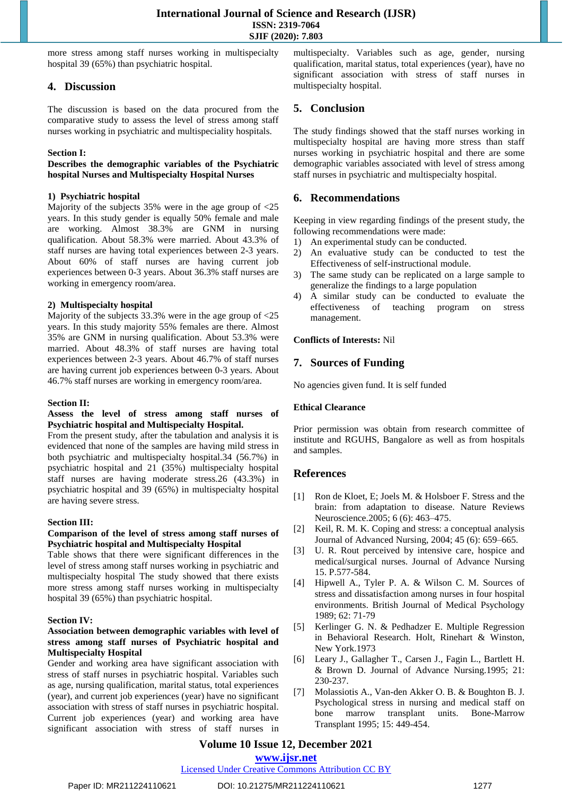more stress among staff nurses working in multispecialty hospital 39 (65%) than psychiatric hospital.

## **4. Discussion**

The discussion is based on the data procured from the comparative study to assess the level of stress among staff nurses working in psychiatric and multispeciality hospitals.

#### **Section I:**

#### **Describes the demographic variables of the Psychiatric hospital Nurses and Multispecialty Hospital Nurses**

#### **1) Psychiatric hospital**

Majority of the subjects 35% were in the age group of <25 years. In this study gender is equally 50% female and male are working. Almost 38.3% are GNM in nursing qualification. About 58.3% were married. About 43.3% of staff nurses are having total experiences between 2-3 years. About 60% of staff nurses are having current job experiences between 0-3 years. About 36.3% staff nurses are working in emergency room/area.

#### **2) Multispecialty hospital**

Majority of the subjects 33.3% were in the age group of <25 years. In this study majority 55% females are there. Almost 35% are GNM in nursing qualification. About 53.3% were married. About 48.3% of staff nurses are having total experiences between 2-3 years. About 46.7% of staff nurses are having current job experiences between 0-3 years. About 46.7% staff nurses are working in emergency room/area.

#### **Section II:**

#### **Assess the level of stress among staff nurses of Psychiatric hospital and Multispecialty Hospital.**

From the present study, after the tabulation and analysis it is evidenced that none of the samples are having mild stress in both psychiatric and multispecialty hospital.34 (56.7%) in psychiatric hospital and 21 (35%) multispecialty hospital staff nurses are having moderate stress.26 (43.3%) in psychiatric hospital and 39 (65%) in multispecialty hospital are having severe stress.

#### **Section III:**

#### **Comparison of the level of stress among staff nurses of Psychiatric hospital and Multispecialty Hospital**

Table shows that there were significant differences in the level of stress among staff nurses working in psychiatric and multispecialty hospital The study showed that there exists more stress among staff nurses working in multispecialty hospital 39 (65%) than psychiatric hospital.

#### **Section IV:**

#### **Association between demographic variables with level of stress among staff nurses of Psychiatric hospital and Multispecialty Hospital**

Gender and working area have significant association with stress of staff nurses in psychiatric hospital. Variables such as age, nursing qualification, marital status, total experiences (year), and current job experiences (year) have no significant association with stress of staff nurses in psychiatric hospital. Current job experiences (year) and working area have significant association with stress of staff nurses in multispecialty. Variables such as age, gender, nursing qualification, marital status, total experiences (year), have no significant association with stress of staff nurses in multispecialty hospital.

## **5. Conclusion**

The study findings showed that the staff nurses working in multispecialty hospital are having more stress than staff nurses working in psychiatric hospital and there are some demographic variables associated with level of stress among staff nurses in psychiatric and multispecialty hospital.

## **6. Recommendations**

Keeping in view regarding findings of the present study, the following recommendations were made:

- 1) An experimental study can be conducted.
- 2) An evaluative study can be conducted to test the Effectiveness of self-instructional module.
- 3) The same study can be replicated on a large sample to generalize the findings to a large population
- 4) A similar study can be conducted to evaluate the effectiveness of teaching program on stress management.

#### **Conflicts of Interests:** Nil

## **7. Sources of Funding**

No agencies given fund. It is self funded

#### **Ethical Clearance**

Prior permission was obtain from research committee of institute and RGUHS, Bangalore as well as from hospitals and samples.

## **References**

- [1] Ron de Kloet, E; Joels M. & Holsboer F. Stress and the brain: from adaptation to disease. Nature Reviews Neuroscience.2005; 6 (6): 463–475.
- [2] Keil, R. M. K. Coping and stress: a [conceptual](http://www.ingentaconnect.com/content/bsc/jan/2004/00000045/00000006/art00013) analysis Journal of Advanced Nursing, 2004; 45 (6): 659–665.
- [3] U. R. Rout perceived by intensive care, hospice and medical/surgical nurses. Journal of Advance Nursing 15. P.577-584.
- [4] Hipwell A., Tyler P. A. & Wilson C. M. Sources of stress and dissatisfaction among nurses in four hospital environments. British Journal of Medical Psychology 1989; 62: 71-79
- [5] Kerlinger G. N. & Pedhadzer E. Multiple Regression in Behavioral Research. Holt, Rinehart & Winston, New York.1973
- Leary J., Gallagher T., Carsen J., Fagin L., Bartlett H. & Brown D. Journal of Advance Nursing.1995; 21: 230-237.
- [7] Molassiotis A., Van-den Akker O. B. & Boughton B. J. Psychological stress in nursing and medical staff on bone marrow transplant units. Bone-Marrow Transplant 1995; 15: 449-454.

## **Volume 10 Issue 12, December 2021**

#### **www.ijsr.net**

## Licensed Under Creative Commons Attribution CC BY